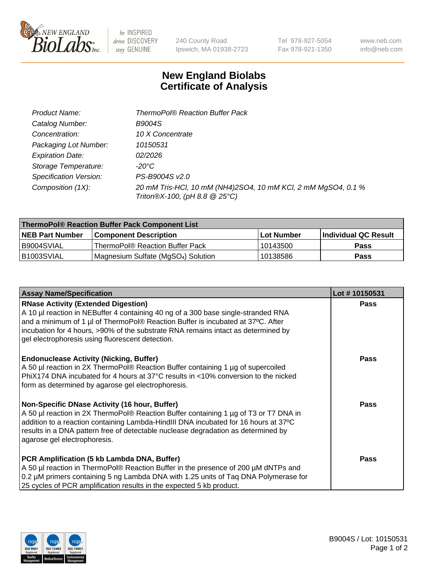

 $be$  INSPIRED drive DISCOVERY stay GENUINE

240 County Road Ipswich, MA 01938-2723

Tel 978-927-5054 Fax 978-921-1350

www.neb.com info@neb.com

## **New England Biolabs Certificate of Analysis**

| Product Name:           | ThermoPol® Reaction Buffer Pack                                                                |
|-------------------------|------------------------------------------------------------------------------------------------|
| Catalog Number:         | <b>B9004S</b>                                                                                  |
| Concentration:          | 10 X Concentrate                                                                               |
| Packaging Lot Number:   | 10150531                                                                                       |
| <b>Expiration Date:</b> | 02/2026                                                                                        |
| Storage Temperature:    | $-20^{\circ}$ C                                                                                |
| Specification Version:  | PS-B9004S v2.0                                                                                 |
| Composition (1X):       | 20 mM Tris-HCl, 10 mM (NH4)2SO4, 10 mM KCl, 2 mM MgSO4, 0.1 %<br>Triton®X-100, (pH 8.8 @ 25°C) |

| ThermoPol® Reaction Buffer Pack Component List |                                                 |            |                             |  |
|------------------------------------------------|-------------------------------------------------|------------|-----------------------------|--|
| <b>NEB Part Number</b>                         | l Component Description                         | Lot Number | <b>Individual QC Result</b> |  |
| I B9004SVIAL                                   | ThermoPol® Reaction Buffer Pack_                | 10143500   | <b>Pass</b>                 |  |
| IB1003SVIAL                                    | Magnesium Sulfate (MgSO <sub>4</sub> ) Solution | 10138586   | Pass                        |  |

| <b>Assay Name/Specification</b>                                                                                                                                                                                                                                                                                                                             | Lot #10150531 |
|-------------------------------------------------------------------------------------------------------------------------------------------------------------------------------------------------------------------------------------------------------------------------------------------------------------------------------------------------------------|---------------|
| <b>RNase Activity (Extended Digestion)</b><br>A 10 µl reaction in NEBuffer 4 containing 40 ng of a 300 base single-stranded RNA<br>and a minimum of 1 µl of ThermoPol® Reaction Buffer is incubated at 37°C. After<br>incubation for 4 hours, >90% of the substrate RNA remains intact as determined by<br>gel electrophoresis using fluorescent detection. | <b>Pass</b>   |
| <b>Endonuclease Activity (Nicking, Buffer)</b><br>A 50 µl reaction in 2X ThermoPol® Reaction Buffer containing 1 µg of supercoiled<br>PhiX174 DNA incubated for 4 hours at 37°C results in <10% conversion to the nicked<br>form as determined by agarose gel electrophoresis.                                                                              | <b>Pass</b>   |
| Non-Specific DNase Activity (16 hour, Buffer)<br>A 50 µl reaction in 2X ThermoPol® Reaction Buffer containing 1 µg of T3 or T7 DNA in<br>addition to a reaction containing Lambda-HindIII DNA incubated for 16 hours at 37°C<br>results in a DNA pattern free of detectable nuclease degradation as determined by<br>agarose gel electrophoresis.           | <b>Pass</b>   |
| PCR Amplification (5 kb Lambda DNA, Buffer)<br>A 50 µl reaction in ThermoPol® Reaction Buffer in the presence of 200 µM dNTPs and<br>0.2 µM primers containing 5 ng Lambda DNA with 1.25 units of Tag DNA Polymerase for<br>25 cycles of PCR amplification results in the expected 5 kb product.                                                            | <b>Pass</b>   |